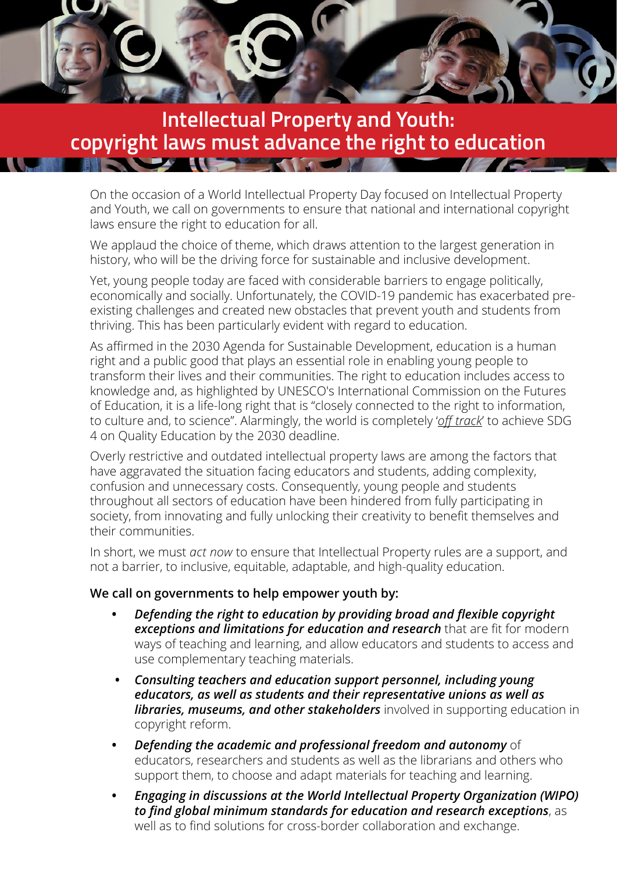

## **Intellectual Property and Youth: copyright laws must advance the right to education**

On the occasion of a World Intellectual Property Day focused on Intellectual Property and Youth, we call on governments to ensure that national and international copyright laws ensure the right to education for all.

We applaud the choice of theme, which draws attention to the largest generation in history, who will be the driving force for sustainable and inclusive development.

Yet, young people today are faced with considerable barriers to engage politically, economically and socially. Unfortunately, the COVID-19 pandemic has exacerbated preexisting challenges and created new obstacles that prevent youth and students from thriving. This has been particularly evident with regard to education.

As affirmed in the 2030 Agenda for Sustainable Development, education is a human right and a public good that plays an essential role in enabling young people to transform their lives and their communities. The right to education includes access to knowledge and, as highlighted by UNESCO's International Commission on the Futures of Education, it is a life-long right that is "closely connected to the right to information, to culture and, to science". Alarmingly, the world is completely '*[off track](https://issuu.com/educationinternational/docs/off_track-_educators_assess_sdg_4_p)*' to achieve SDG 4 on Quality Education by the 2030 deadline.

Overly restrictive and outdated intellectual property laws are among the factors that have aggravated the situation facing educators and students, adding complexity, confusion and unnecessary costs. Consequently, young people and students throughout all sectors of education have been hindered from fully participating in society, from innovating and fully unlocking their creativity to benefit themselves and their communities.

In short, we must *act now* to ensure that Intellectual Property rules are a support, and not a barrier, to inclusive, equitable, adaptable, and high-quality education.

## **We call on governments to help empower youth by:**

- **•** *Defending the right to education by providing broad and flexible copyright exceptions and limitations for education and research* that are fit for modern ways of teaching and learning, and allow educators and students to access and use complementary teaching materials.
- **•** *Consulting teachers and education support personnel, including young educators, as well as students and their representative unions as well as libraries, museums, and other stakeholders* involved in supporting education in copyright reform.
- **•** *Defending the academic and professional freedom and autonomy* of educators, researchers and students as well as the librarians and others who support them, to choose and adapt materials for teaching and learning.
- **•** *Engaging in discussions at the World Intellectual Property Organization (WIPO) to find global minimum standards for education and research exceptions*, as well as to find solutions for cross-border collaboration and exchange.